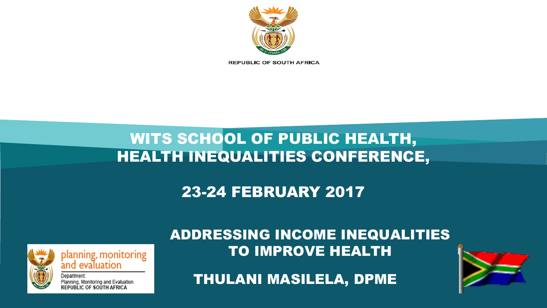

planning, monitoring<br>and evaluation

Planning, Monitoring and Evaluation<br>REPUBLIC OF SOUTH AFRICA

ADDRESSING INCOME INEQUALITIES TO IMPROVE HEALTH

THULANI MASILELA, DPME

### 23-24 FEBRUARY 2017

# HEALTH INEQUALITIES CONFERENCE,

WITS SCHOOL OF PUBLIC HEALTH,



**REPUBLIC OF SOUTH AFRICA**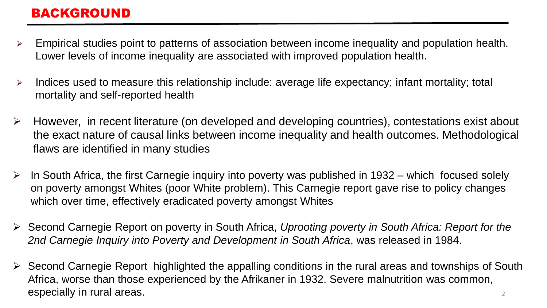#### BACKGROUND

- $\triangleright$  Empirical studies point to patterns of association between income inequality and population health. Lower levels of income inequality are associated with improved population health.
- $\triangleright$  Indices used to measure this relationship include: average life expectancy; infant mortality; total mortality and self-reported health
- $\triangleright$  However, in recent literature (on developed and developing countries), contestations exist about the exact nature of causal links between income inequality and health outcomes. Methodological flaws are identified in many studies
- $\triangleright$  In South Africa, the first Carnegie inquiry into poverty was published in 1932 which focused solely on poverty amongst Whites (poor White problem). This Carnegie report gave rise to policy changes which over time, effectively eradicated poverty amongst Whites
- Second Carnegie Report on poverty in South Africa, *Uprooting poverty in South Africa: Report for the 2nd Carnegie Inquiry into Poverty and Development in South Africa*, was released in 1984.
- 2  $\triangleright$  Second Carnegie Report highlighted the appalling conditions in the rural areas and townships of South Africa, worse than those experienced by the Afrikaner in 1932. Severe malnutrition was common, especially in rural areas.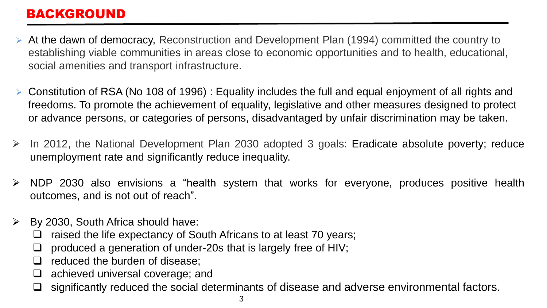#### BACKGROUND

- At the dawn of democracy, Reconstruction and Development Plan (1994) committed the country to establishing viable communities in areas close to economic opportunities and to health, educational, social amenities and transport infrastructure.
- Constitution of RSA (No 108 of 1996) : Equality includes the full and equal enjoyment of all rights and freedoms. To promote the achievement of equality, legislative and other measures designed to protect or advance persons, or categories of persons, disadvantaged by unfair discrimination may be taken.
- $\triangleright$  In 2012, the National Development Plan 2030 adopted 3 goals: Eradicate absolute poverty; reduce unemployment rate and significantly reduce inequality.
- $\triangleright$  NDP 2030 also envisions a "health system that works for everyone, produces positive health outcomes, and is not out of reach".
- $\triangleright$  By 2030, South Africa should have:
	- $\Box$  raised the life expectancy of South Africans to at least 70 years;
	- $\Box$  produced a generation of under-20s that is largely free of HIV;
	- $\Box$  reduced the burden of disease;
	- $\Box$  achieved universal coverage; and
	- $\Box$  significantly reduced the social determinants of disease and adverse environmental factors.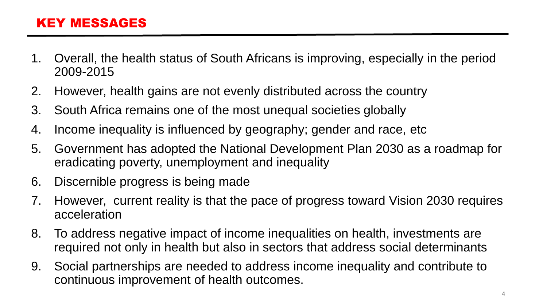#### KEY MESSAGES

- 1. Overall, the health status of South Africans is improving, especially in the period 2009-2015
- 2. However, health gains are not evenly distributed across the country
- 3. South Africa remains one of the most unequal societies globally
- 4. Income inequality is influenced by geography; gender and race, etc
- 5. Government has adopted the National Development Plan 2030 as a roadmap for eradicating poverty, unemployment and inequality
- 6. Discernible progress is being made
- 7. However, current reality is that the pace of progress toward Vision 2030 requires acceleration
- 8. To address negative impact of income inequalities on health, investments are required not only in health but also in sectors that address social determinants
- 9. Social partnerships are needed to address income inequality and contribute to continuous improvement of health outcomes.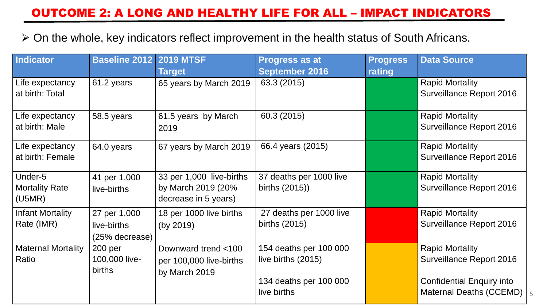#### OUTCOME 2: A LONG AND HEALTHY LIFE FOR ALL – IMPACT INDICATORS

On the whole, key indicators reflect improvement in the health status of South Africans.

| Indicator                          | <b>Baseline 2012</b> | <b>2019 MTSF</b>                           | <b>Progress as at</b>   | <b>Progress</b> | <b>Data Source</b>                                          |
|------------------------------------|----------------------|--------------------------------------------|-------------------------|-----------------|-------------------------------------------------------------|
|                                    |                      | <b>Target</b>                              | <b>September 2016</b>   | rating          |                                                             |
| Life expectancy<br>at birth: Total | 61.2 years           | 65 years by March 2019                     | 63.3 (2015)             |                 | <b>Rapid Mortality</b><br><b>Surveillance Report 2016</b>   |
|                                    |                      |                                            |                         |                 |                                                             |
| Life expectancy                    | 58.5 years           | 61.5 years by March                        | 60.3 (2015)             |                 | <b>Rapid Mortality</b>                                      |
| at birth: Male                     |                      | 2019                                       |                         |                 | <b>Surveillance Report 2016</b>                             |
| Life expectancy                    | 64.0 years           | 67 years by March 2019                     | 66.4 years (2015)       |                 | <b>Rapid Mortality</b>                                      |
| at birth: Female                   |                      |                                            |                         |                 | <b>Surveillance Report 2016</b>                             |
| Under-5                            | 41 per 1,000         | 33 per 1,000 live-births                   | 37 deaths per 1000 live |                 | <b>Rapid Mortality</b>                                      |
| <b>Mortality Rate</b><br>(U5MR)    | live-births          | by March 2019 (20%<br>decrease in 5 years) | births (2015))          |                 | <b>Surveillance Report 2016</b>                             |
| <b>Infant Mortality</b>            | 27 per 1,000         | 18 per 1000 live births                    | 27 deaths per 1000 live |                 | <b>Rapid Mortality</b>                                      |
| Rate (IMR)                         | live-births          | (by 2019)                                  | births (2015)           |                 | <b>Surveillance Report 2016</b>                             |
|                                    | (25% decrease)       |                                            |                         |                 |                                                             |
| <b>Maternal Mortality</b>          | 200 <sub>per</sub>   | Downward trend <100                        | 154 deaths per 100 000  |                 | <b>Rapid Mortality</b>                                      |
| Ratio                              | 100,000 live-        | per 100,000 live-births                    | live births (2015)      |                 | <b>Surveillance Report 2016</b>                             |
|                                    | births               | by March 2019                              | 134 deaths per 100 000  |                 |                                                             |
|                                    |                      |                                            | live births             |                 | <b>Confidential Enquiry into</b><br>Maternal Deaths (CCEMD) |
|                                    |                      |                                            |                         |                 |                                                             |

5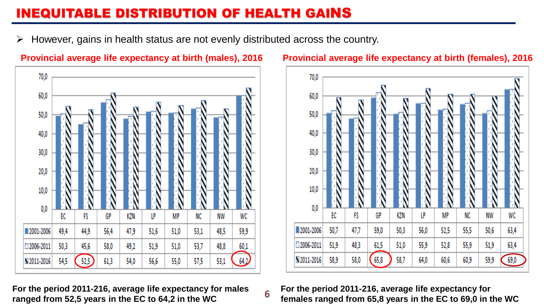#### INEQUITABLE DISTRIBUTION OF HEALTH GAINS

 $\triangleright$  However, gains in health status are not evenly distributed across the country.

6



**For the period 2011-216, average life expectancy for males ranged from 52,5 years in the EC to 64,2 in the WC**



#### **Provincial average life expectancy at birth (males), 2016 Provincial average life expectancy at birth (females), 2016**

**For the period 2011-216, average life expectancy for females ranged from 65,8 years in the EC to 69,0 in the WC**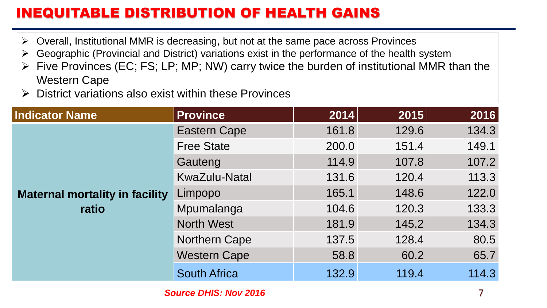### INEQUITABLE DISTRIBUTION OF HEALTH GAINS

- $\triangleright$  Overall, Institutional MMR is decreasing, but not at the same pace across Provinces
- $\triangleright$  Geographic (Provincial and District) variations exist in the performance of the health system
- $\triangleright$  Five Provinces (EC; FS; LP; MP; NW) carry twice the burden of institutional MMR than the Western Cape
- $\triangleright$  District variations also exist within these Provinces

| <b>Indicator Name</b>                 | <b>Province</b>      | 2014  | 2015  | 2016  |
|---------------------------------------|----------------------|-------|-------|-------|
|                                       | <b>Eastern Cape</b>  | 161.8 | 129.6 | 134.3 |
|                                       | <b>Free State</b>    | 200.0 | 151.4 | 149.1 |
|                                       | Gauteng              | 114.9 | 107.8 | 107.2 |
|                                       | <b>KwaZulu-Natal</b> | 131.6 | 120.4 | 113.3 |
| <b>Maternal mortality in facility</b> | Limpopo              | 165.1 | 148.6 | 122.0 |
| ratio                                 | Mpumalanga           | 104.6 | 120.3 | 133.3 |
|                                       | <b>North West</b>    | 181.9 | 145.2 | 134.3 |
|                                       | <b>Northern Cape</b> | 137.5 | 128.4 | 80.5  |
|                                       | <b>Western Cape</b>  | 58.8  | 60.2  | 65.7  |
|                                       | <b>South Africa</b>  | 132.9 | 119.4 | 114.3 |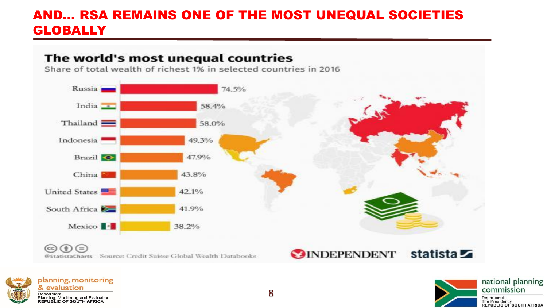#### AND… RSA REMAINS ONE OF THE MOST UNEQUAL SOCIETIES **GLOBALLY**

#### The world's most unequal countries

Share of total wealth of richest 1% in selected countries in 2016





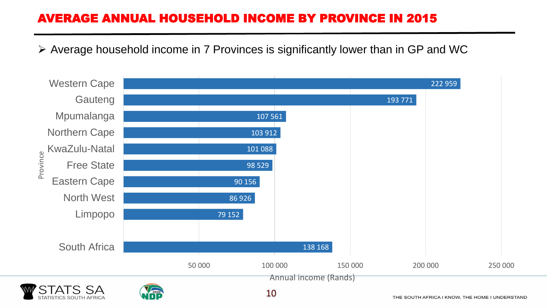#### AVERAGE ANNUAL HOUSEHOLD INCOME BY PROVINCE IN 2015

 $\triangleright$  Average household income in 7 Provinces is significantly lower than in GP and WC



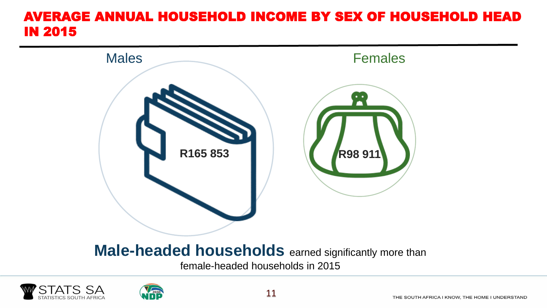#### AVERAGE ANNUAL HOUSEHOLD INCOME BY SEX OF HOUSEHOLD HEAD IN 2015



### **Male-headed households** earned significantly more than

female-headed households in 2015



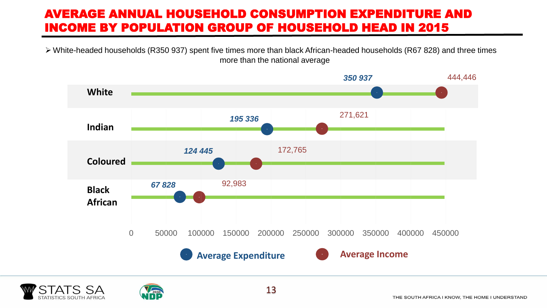#### AVERAGE ANNUAL HOUSEHOLD CONSUMPTION EXPENDITURE AND INCOME BY POPULATION GROUP OF HOUSEHOLD HEAD IN 2015

 White-headed households (R350 937) spent five times more than black African-headed households (R67 828) and three times more than the national average





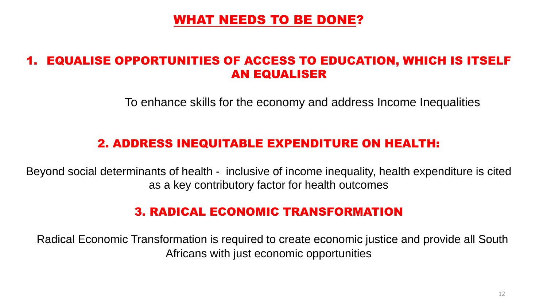#### WHAT NEEDS TO BE DONE?

#### 1. EQUALISE OPPORTUNITIES OF ACCESS TO EDUCATION, WHICH IS ITSELF AN EQUALISER

To enhance skills for the economy and address Income Inequalities

#### 2. ADDRESS INEQUITABLE EXPENDITURE ON HEALTH:

Beyond social determinants of health - inclusive of income inequality, health expenditure is cited as a key contributory factor for health outcomes

#### 3. RADICAL ECONOMIC TRANSFORMATION

Radical Economic Transformation is required to create economic justice and provide all South Africans with just economic opportunities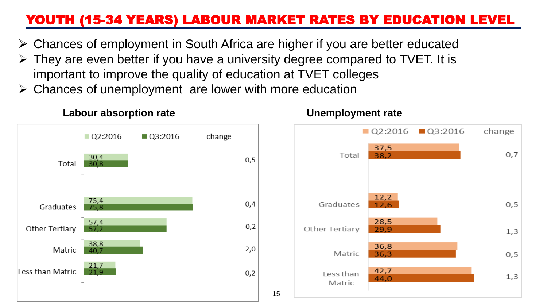### YOUTH (15-34 YEARS) LABOUR MARKET RATES BY EDUCATION LEVEL

- Chances of employment in South Africa are higher if you are better educated
- $\triangleright$  They are even better if you have a university degree compared to TVET. It is important to improve the quality of education at TVET colleges
- Chances of unemployment are lower with more education



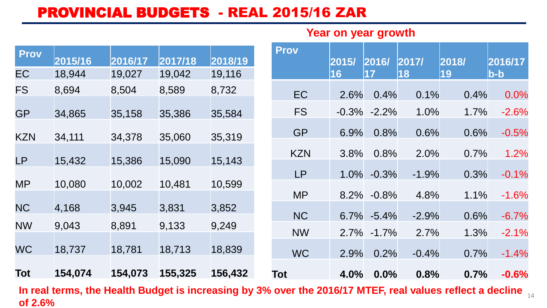### PROVINCIAL BUDGETS - REAL 2015/16 ZAR

#### **Year on year growth**

| 18,944<br>8,694 | 19,027<br>8,504  | 19,042<br>8,589            | 19,116                     |                            |            |                        |         |                                      |                                                                                           |                                                                                                                                                                                                                                                       |
|-----------------|------------------|----------------------------|----------------------------|----------------------------|------------|------------------------|---------|--------------------------------------|-------------------------------------------------------------------------------------------|-------------------------------------------------------------------------------------------------------------------------------------------------------------------------------------------------------------------------------------------------------|
|                 |                  |                            |                            |                            |            | 16                     | 17      | 18                                   | 19                                                                                        | b-b                                                                                                                                                                                                                                                   |
|                 |                  |                            | 8,732                      |                            | EC         | 2.6%                   | 0.4%    | 0.1%                                 | 0.4%                                                                                      | 0.0%                                                                                                                                                                                                                                                  |
| 34,865          | 35,158           | 35,386                     | 35,584                     |                            | <b>FS</b>  | $-0.3%$                | $-2.2%$ | 1.0%                                 | 1.7%                                                                                      | $-2.6%$                                                                                                                                                                                                                                               |
| 34,111          |                  |                            |                            |                            | <b>GP</b>  |                        |         |                                      |                                                                                           | $-0.5%$                                                                                                                                                                                                                                               |
|                 |                  |                            |                            |                            | <b>KZN</b> |                        |         |                                      |                                                                                           | 1.2%                                                                                                                                                                                                                                                  |
|                 |                  |                            |                            |                            | LP         |                        |         |                                      |                                                                                           | $-0.1%$                                                                                                                                                                                                                                               |
|                 |                  |                            |                            |                            | <b>MP</b>  |                        |         |                                      |                                                                                           | $-1.6%$                                                                                                                                                                                                                                               |
| 4,168           | 3,945            | 3,831                      | 3,852                      |                            |            |                        |         |                                      |                                                                                           | $-6.7%$                                                                                                                                                                                                                                               |
| 9,043           | 8,891            | 9,133                      | 9,249                      |                            |            |                        |         |                                      |                                                                                           | $-2.1%$                                                                                                                                                                                                                                               |
| 18,737          | 18,781           | 18,713                     | 18,839                     |                            | WC         |                        |         |                                      |                                                                                           | $-1.4%$                                                                                                                                                                                                                                               |
| 154,074         | 154,073          | 155,325                    | 156,432                    |                            | Tot        |                        |         |                                      |                                                                                           | $-0.6%$                                                                                                                                                                                                                                               |
|                 | 15,432<br>10,080 | 34,378<br>15,386<br>10,002 | 35,060<br>15,090<br>10,481 | 35,319<br>15,143<br>10,599 |            | <b>NC</b><br><b>NW</b> |         | 6.9%<br>3.8%<br>1.0%<br>2.9%<br>4.0% | 0.8%<br>0.8%<br>$-0.3%$<br>8.2% -0.8%<br>$6.7\% -5.4\%$<br>$2.7\% -1.7\%$<br>0.2%<br>0.0% | 0.6%<br>0.6%<br>2.0%<br>0.7%<br>0.3%<br>$-1.9%$<br>4.8%<br>1.1%<br>$-2.9%$<br>0.6%<br>2.7%<br>1.3%<br>$-0.4%$<br>0.7%<br>0.8%<br>0.7%<br>In real terms, the Health Budget is increasing by 3% over the 2016/17 MTEF, real values reflect a decline 14 |

**In real terms, the Health Budget is increasing by 3% over the 2016/17 MTEF, real values reflect a decline of 2.6%**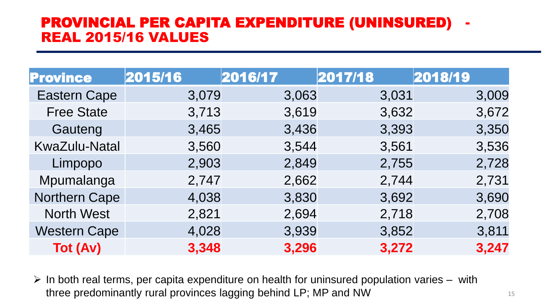#### PROVINCIAL PER CAPITA EXPENDITURE (UNINSURED) REAL 2015/16 VALUES

| <b>Province</b>      | 2015/16 | 2016/17 | 2017/18 | 2018/19 |
|----------------------|---------|---------|---------|---------|
| <b>Eastern Cape</b>  | 3,079   | 3,063   | 3,031   | 3,009   |
| <b>Free State</b>    | 3,713   | 3,619   | 3,632   | 3,672   |
| Gauteng              | 3,465   | 3,436   | 3,393   | 3,350   |
| <b>KwaZulu-Natal</b> | 3,560   | 3,544   | 3,561   | 3,536   |
| Limpopo              | 2,903   | 2,849   | 2,755   | 2,728   |
| Mpumalanga           | 2,747   | 2,662   | 2,744   | 2,731   |
| <b>Northern Cape</b> | 4,038   | 3,830   | 3,692   | 3,690   |
| <b>North West</b>    | 2,821   | 2,694   | 2,718   | 2,708   |
| <b>Western Cape</b>  | 4,028   | 3,939   | 3,852   | 3,811   |
| <b>Tot (Av)</b>      | 3,348   | 3,296   | 3,272   | 3,247   |

 $\triangleright$  In both real terms, per capita expenditure on health for uninsured population varies – with three predominantly rural provinces lagging behind LP; MP and NW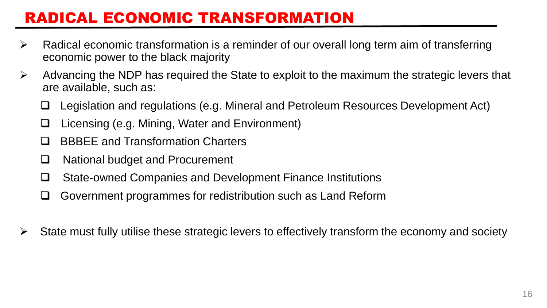### RADICAL ECONOMIC TRANSFORMATION

- $\triangleright$  Radical economic transformation is a reminder of our overall long term aim of transferring economic power to the black majority
- $\triangleright$  Advancing the NDP has required the State to exploit to the maximum the strategic levers that are available, such as:
	- Legislation and regulations (e.g. Mineral and Petroleum Resources Development Act)
	- Licensing (e.g. Mining, Water and Environment)
	- □ BBBEE and Transformation Charters
	- □ National budget and Procurement
	- State-owned Companies and Development Finance Institutions
	- □ Government programmes for redistribution such as Land Reform
- $\triangleright$  State must fully utilise these strategic levers to effectively transform the economy and society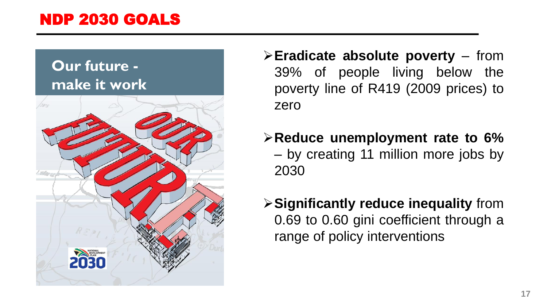### NDP 2030 GOALS

### **Our future make it work**



- **Eradicate absolute poverty** from 39% of people living below the poverty line of R419 (2009 prices) to zero
- **Reduce unemployment rate to 6%** – by creating 11 million more jobs by 2030
- **Significantly reduce inequality** from 0.69 to 0.60 gini coefficient through a range of policy interventions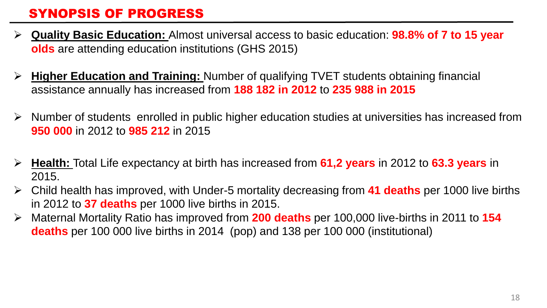#### SYNOPSIS OF PROGRESS

- **Quality Basic Education:** Almost universal access to basic education: **98.8% of 7 to 15 year olds** are attending education institutions (GHS 2015)
- **Higher Education and Training:** Number of qualifying TVET students obtaining financial assistance annually has increased from **188 182 in 2012** to **235 988 in 2015**
- $\triangleright$  Number of students enrolled in public higher education studies at universities has increased from **950 000** in 2012 to **985 212** in 2015
- **Health:** Total Life expectancy at birth has increased from **61,2 years** in 2012 to **63.3 years** in 2015.
- Child health has improved, with Under-5 mortality decreasing from **41 deaths** per 1000 live births in 2012 to **37 deaths** per 1000 live births in 2015.
- Maternal Mortality Ratio has improved from **200 deaths** per 100,000 live-births in 2011 to **154 deaths** per 100 000 live births in 2014 (pop) and 138 per 100 000 (institutional)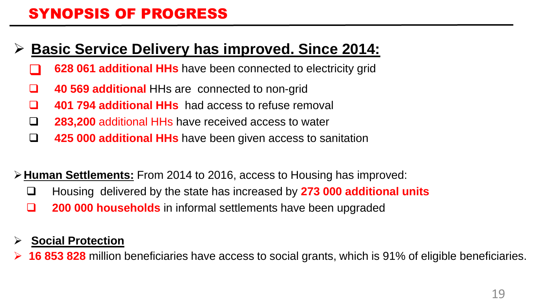### SYNOPSIS OF PROGRESS

### **Basic Service Delivery has improved. Since 2014:**

- **628 061 additional HHs** have been connected to electricity grid
- **40 569 additional HHs are connected to non-grid**
- **401 794 additional HHs** had access to refuse removal
- **283,200** additional HHs have received access to water
- **425 000 additional HHs** have been given access to sanitation
- **Human Settlements:** From 2014 to 2016, access to Housing has improved:
	- Housing delivered by the state has increased by **273 000 additional units**
	- **200 000 households** in informal settlements have been upgraded

#### **Social Protection**

**16 853 828** million beneficiaries have access to social grants, which is 91% of eligible beneficiaries.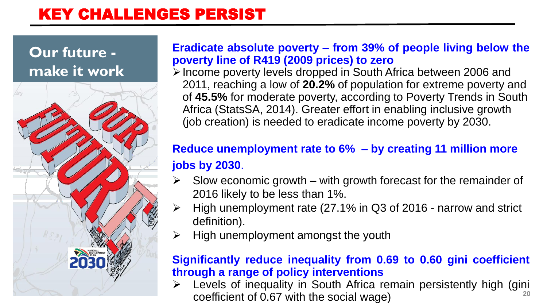### KEY CHALLENGES PERSIST

### **Our future make it work**



#### **Eradicate absolute poverty – from 39% of people living below the poverty line of R419 (2009 prices) to zero**

Income poverty levels dropped in South Africa between 2006 and 2011, reaching a low of **20.2%** of population for extreme poverty and of **45.5%** for moderate poverty, according to Poverty Trends in South Africa (StatsSA, 2014). Greater effort in enabling inclusive growth (job creation) is needed to eradicate income poverty by 2030.

### **Reduce unemployment rate to 6% – by creating 11 million more jobs by 2030**.

- Slow economic growth with growth forecast for the remainder of 2016 likely to be less than 1%.
- $\triangleright$  High unemployment rate (27.1% in Q3 of 2016 narrow and strict definition).
- $\triangleright$  High unemployment amongst the youth

#### **Significantly reduce inequality from 0.69 to 0.60 gini coefficient through a range of policy interventions**

**20** Levels of inequality in South Africa remain persistently high (gini coefficient of 0.67 with the social wage)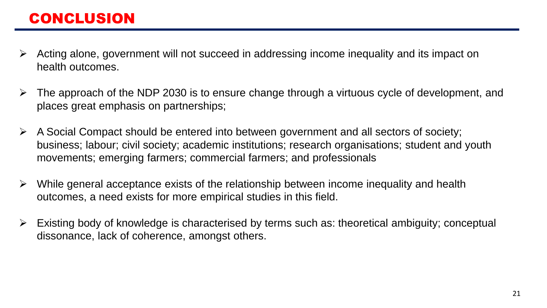- Acting alone, government will not succeed in addressing income inequality and its impact on health outcomes.
- $\triangleright$  The approach of the NDP 2030 is to ensure change through a virtuous cycle of development, and places great emphasis on partnerships;
- $\triangleright$  A Social Compact should be entered into between government and all sectors of society; business; labour; civil society; academic institutions; research organisations; student and youth movements; emerging farmers; commercial farmers; and professionals
- $\triangleright$  While general acceptance exists of the relationship between income inequality and health outcomes, a need exists for more empirical studies in this field.
- $\triangleright$  Existing body of knowledge is characterised by terms such as: theoretical ambiguity; conceptual dissonance, lack of coherence, amongst others.